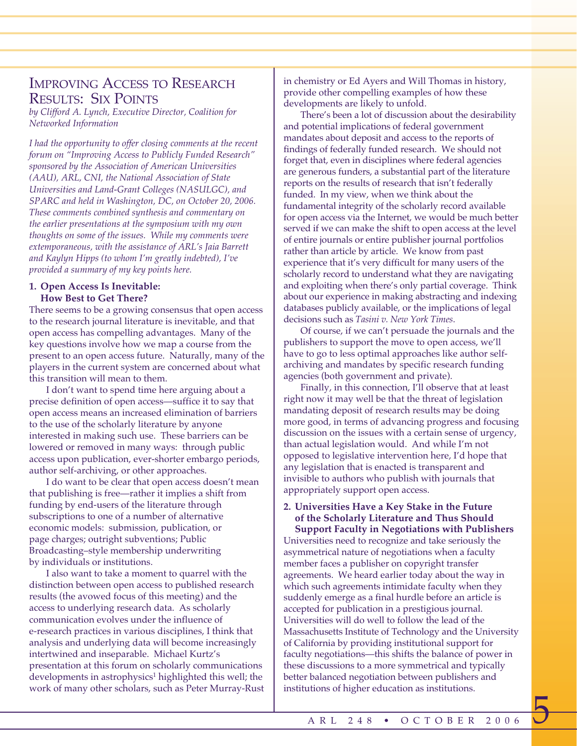# IMPROVING ACCESS TO RESEARCH RESULTS: SIX POINTS

*by Clifford A. Lynch, Executive Director, Coalition for Networked Information*

*I had the opportunity to offer closing comments at the recent forum on "Improving Access to Publicly Funded Research" sponsored by the Association of American Universities (AAU), ARL, CNI, the National Association of State Universities and Land-Grant Colleges (NASULGC), and SPARC and held in Washington, DC, on October 20, 2006. These comments combined synthesis and commentary on the earlier presentations at the symposium with my own thoughts on some of the issues. While my comments were extemporaneous, with the assistance of ARL's Jaia Barrett and Kaylyn Hipps (to whom I'm greatly indebted), I've provided a summary of my key points here.* 

# **1. Open Access Is Inevitable: How Best to Get There?**

There seems to be a growing consensus that open access to the research journal literature is inevitable, and that open access has compelling advantages. Many of the key questions involve how we map a course from the present to an open access future. Naturally, many of the players in the current system are concerned about what this transition will mean to them.

I don't want to spend time here arguing about a precise definition of open access—suffice it to say that open access means an increased elimination of barriers to the use of the scholarly literature by anyone interested in making such use. These barriers can be lowered or removed in many ways: through public access upon publication, ever-shorter embargo periods, author self-archiving, or other approaches.

I do want to be clear that open access doesn't mean that publishing is free—rather it implies a shift from funding by end-users of the literature through subscriptions to one of a number of alternative economic models: submission, publication, or page charges; outright subventions; Public Broadcasting–style membership underwriting by individuals or institutions.

I also want to take a moment to quarrel with the distinction between open access to published research results (the avowed focus of this meeting) and the access to underlying research data. As scholarly communication evolves under the influence of e-research practices in various disciplines, I think that analysis and underlying data will become increasingly intertwined and inseparable. Michael Kurtz's presentation at this forum on scholarly communications developments in astrophysics<sup>1</sup> highlighted this well; the work of many other scholars, such as Peter Murray-Rust in chemistry or Ed Ayers and Will Thomas in history, provide other compelling examples of how these developments are likely to unfold.

There's been a lot of discussion about the desirability and potential implications of federal government mandates about deposit and access to the reports of findings of federally funded research. We should not forget that, even in disciplines where federal agencies are generous funders, a substantial part of the literature reports on the results of research that isn't federally funded. In my view, when we think about the fundamental integrity of the scholarly record available for open access via the Internet, we would be much better served if we can make the shift to open access at the level of entire journals or entire publisher journal portfolios rather than article by article. We know from past experience that it's very difficult for many users of the scholarly record to understand what they are navigating and exploiting when there's only partial coverage. Think about our experience in making abstracting and indexing databases publicly available, or the implications of legal decisions such as *Tasini v. New York Times*.

Of course, if we can't persuade the journals and the publishers to support the move to open access, we'll have to go to less optimal approaches like author selfarchiving and mandates by specific research funding agencies (both government and private).

Finally, in this connection, I'll observe that at least right now it may well be that the threat of legislation mandating deposit of research results may be doing more good, in terms of advancing progress and focusing discussion on the issues with a certain sense of urgency, than actual legislation would. And while I'm not opposed to legislative intervention here, I'd hope that any legislation that is enacted is transparent and invisible to authors who publish with journals that appropriately support open access.

#### **2. Universities Have a Key Stake in the Future of the Scholarly Literature and Thus Should Support Faculty in Negotiations with Publishers**

Universities need to recognize and take seriously the asymmetrical nature of negotiations when a faculty member faces a publisher on copyright transfer agreements. We heard earlier today about the way in which such agreements intimidate faculty when they suddenly emerge as a final hurdle before an article is accepted for publication in a prestigious journal. Universities will do well to follow the lead of the Massachusetts Institute of Technology and the University of California by providing institutional support for faculty negotiations—this shifts the balance of power in these discussions to a more symmetrical and typically better balanced negotiation between publishers and institutions of higher education as institutions.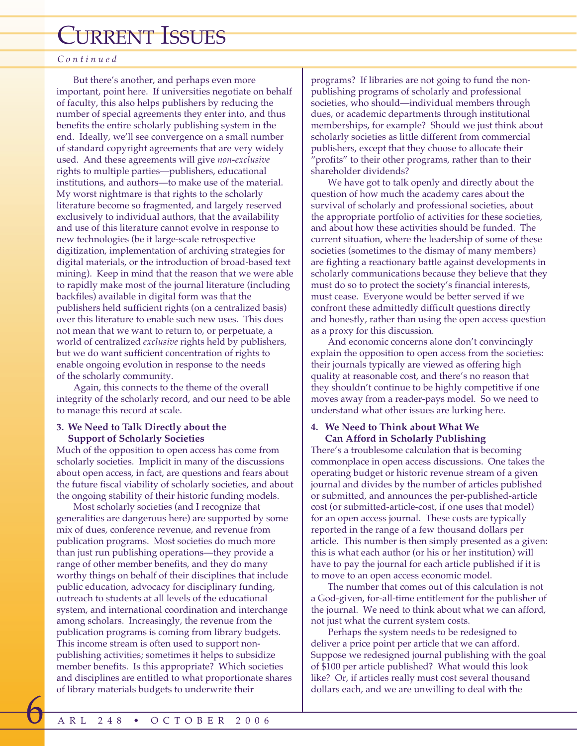# CURRENT ISSUES

## *Continued*

But there's another, and perhaps even more important, point here. If universities negotiate on behalf of faculty, this also helps publishers by reducing the number of special agreements they enter into, and thus benefits the entire scholarly publishing system in the end. Ideally, we'll see convergence on a small number of standard copyright agreements that are very widely used. And these agreements will give *non-exclusive* rights to multiple parties—publishers, educational institutions, and authors—to make use of the material. My worst nightmare is that rights to the scholarly literature become so fragmented, and largely reserved exclusively to individual authors, that the availability and use of this literature cannot evolve in response to new technologies (be it large-scale retrospective digitization, implementation of archiving strategies for digital materials, or the introduction of broad-based text mining). Keep in mind that the reason that we were able to rapidly make most of the journal literature (including backfiles) available in digital form was that the publishers held sufficient rights (on a centralized basis) over this literature to enable such new uses. This does not mean that we want to return to, or perpetuate, a world of centralized *exclusive* rights held by publishers, but we do want sufficient concentration of rights to enable ongoing evolution in response to the needs of the scholarly community.

Again, this connects to the theme of the overall integrity of the scholarly record, and our need to be able to manage this record at scale.

#### **3. We Need to Talk Directly about the Support of Scholarly Societies**

Much of the opposition to open access has come from scholarly societies. Implicit in many of the discussions about open access, in fact, are questions and fears about the future fiscal viability of scholarly societies, and about the ongoing stability of their historic funding models.

Most scholarly societies (and I recognize that generalities are dangerous here) are supported by some mix of dues, conference revenue, and revenue from publication programs. Most societies do much more than just run publishing operations—they provide a range of other member benefits, and they do many worthy things on behalf of their disciplines that include public education, advocacy for disciplinary funding, outreach to students at all levels of the educational system, and international coordination and interchange among scholars. Increasingly, the revenue from the publication programs is coming from library budgets. This income stream is often used to support nonpublishing activities; sometimes it helps to subsidize member benefits. Is this appropriate? Which societies and disciplines are entitled to what proportionate shares of library materials budgets to underwrite their

programs? If libraries are not going to fund the nonpublishing programs of scholarly and professional societies, who should—individual members through dues, or academic departments through institutional memberships, for example? Should we just think about scholarly societies as little different from commercial publishers, except that they choose to allocate their "profits" to their other programs, rather than to their shareholder dividends?

We have got to talk openly and directly about the question of how much the academy cares about the survival of scholarly and professional societies, about the appropriate portfolio of activities for these societies, and about how these activities should be funded. The current situation, where the leadership of some of these societies (sometimes to the dismay of many members) are fighting a reactionary battle against developments in scholarly communications because they believe that they must do so to protect the society's financial interests, must cease. Everyone would be better served if we confront these admittedly difficult questions directly and honestly, rather than using the open access question as a proxy for this discussion.

And economic concerns alone don't convincingly explain the opposition to open access from the societies: their journals typically are viewed as offering high quality at reasonable cost, and there's no reason that they shouldn't continue to be highly competitive if one moves away from a reader-pays model. So we need to understand what other issues are lurking here.

## **4. We Need to Think about What We Can Afford in Scholarly Publishing**

There's a troublesome calculation that is becoming commonplace in open access discussions. One takes the operating budget or historic revenue stream of a given journal and divides by the number of articles published or submitted, and announces the per-published-article cost (or submitted-article-cost, if one uses that model) for an open access journal. These costs are typically reported in the range of a few thousand dollars per article. This number is then simply presented as a given: this is what each author (or his or her institution) will have to pay the journal for each article published if it is to move to an open access economic model.

The number that comes out of this calculation is not a God-given, for-all-time entitlement for the publisher of the journal. We need to think about what we can afford, not just what the current system costs.

Perhaps the system needs to be redesigned to deliver a price point per article that we can afford. Suppose we redesigned journal publishing with the goal of \$100 per article published? What would this look like? Or, if articles really must cost several thousand dollars each, and we are unwilling to deal with the